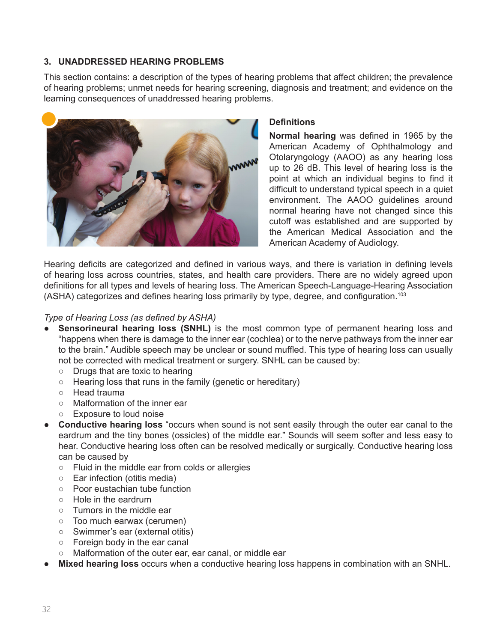# **3. UNADDRESSED HEARING PROBLEMS**

This section contains: a description of the types of hearing problems that affect children; the prevalence of hearing problems; unmet needs for hearing screening, diagnosis and treatment; and evidence on the learning consequences of unaddressed hearing problems.



### **Definitions**

**Normal hearing** was defined in 1965 by the American Academy of Ophthalmology and Otolaryngology (AAOO) as any hearing loss up to 26 dB. This level of hearing loss is the point at which an individual begins to find it difficult to understand typical speech in a quiet environment. The AAOO guidelines around normal hearing have not changed since this cutoff was established and are supported by the American Medical Association and the American Academy of Audiology.

Hearing deficits are categorized and defined in various ways, and there is variation in defining levels of hearing loss across countries, states, and health care providers. There are no widely agreed upon definitions for all types and levels of hearing loss. The American Speech-Language-Hearing Association (ASHA) categorizes and defines hearing loss primarily by type, degree, and configuration.<sup>103</sup>

## *Type of Hearing Loss (as defined by ASHA)*

- **Sensorineural hearing loss (SNHL)** is the most common type of permanent hearing loss and "happens when there is damage to the inner ear (cochlea) or to the nerve pathways from the inner ear to the brain." Audible speech may be unclear or sound muffled. This type of hearing loss can usually not be corrected with medical treatment or surgery. SNHL can be caused by:
	- Drugs that are toxic to hearing
	- Hearing loss that runs in the family (genetic or hereditary)
	- Head trauma
	- Malformation of the inner ear
	- Exposure to loud noise
- **Conductive hearing loss** "occurs when sound is not sent easily through the outer ear canal to the eardrum and the tiny bones (ossicles) of the middle ear." Sounds will seem softer and less easy to hear. Conductive hearing loss often can be resolved medically or surgically. Conductive hearing loss can be caused by
	- Fluid in the middle ear from colds or allergies
	- Ear infection (otitis media)
	- Poor eustachian tube function
	- Hole in the eardrum
	- Tumors in the middle ear
	- Too much earwax (cerumen)
	- Swimmer's ear (external otitis)
	- Foreign body in the ear canal
	- Malformation of the outer ear, ear canal, or middle ear
- **Mixed hearing loss** occurs when a conductive hearing loss happens in combination with an SNHL.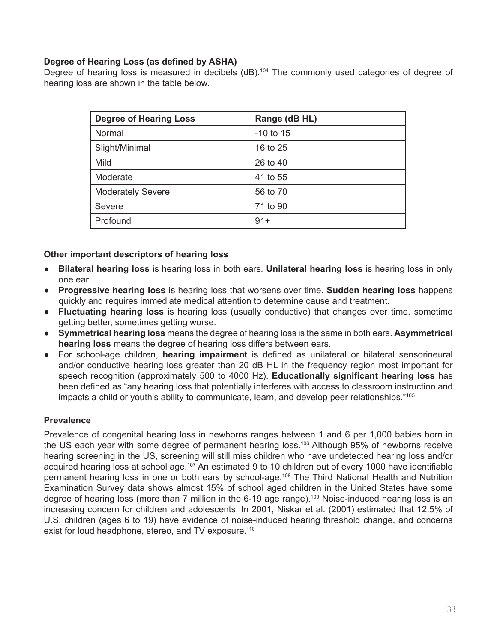## **Degree of Hearing Loss (as defined by ASHA)**

Degree of hearing loss is measured in decibels (dB).<sup>104</sup> The commonly used categories of degree of hearing loss are shown in the table below.

| <b>Degree of Hearing Loss</b> | Range (dB HL) |
|-------------------------------|---------------|
| Normal                        | $-10$ to 15   |
| Slight/Minimal                | 16 to 25      |
| Mild                          | 26 to 40      |
| Moderate                      | 41 to 55      |
| <b>Moderately Severe</b>      | 56 to 70      |
| Severe                        | 71 to 90      |
| Profound                      | $91 +$        |

### **Other important descriptors of hearing loss**

- **Bilateral hearing loss** is hearing loss in both ears. **Unilateral hearing loss** is hearing loss in only one ear.
- **Progressive hearing loss** is hearing loss that worsens over time. **Sudden hearing loss** happens quickly and requires immediate medical attention to determine cause and treatment.
- **Fluctuating hearing loss** is hearing loss (usually conductive) that changes over time, sometime getting better, sometimes getting worse.
- **Symmetrical hearing loss** means the degree of hearing loss is the same in both ears. **Asymmetrical hearing loss** means the degree of hearing loss differs between ears.
- For school-age children, **hearing impairment** is defined as unilateral or bilateral sensorineural and/or conductive hearing loss greater than 20 dB HL in the frequency region most important for speech recognition (approximately 500 to 4000 Hz). **Educationally significant hearing loss** has been defined as "any hearing loss that potentially interferes with access to classroom instruction and impacts a child or youth's ability to communicate, learn, and develop peer relationships."<sup>105</sup>

# **Prevalence**

Prevalence of congenital hearing loss in newborns ranges between 1 and 6 per 1,000 babies born in the US each year with some degree of permanent hearing loss.<sup>106</sup> Although 95% of newborns receive hearing screening in the US, screening will still miss children who have undetected hearing loss and/or acquired hearing loss at school age.<sup>107</sup> An estimated 9 to 10 children out of every 1000 have identifiable permanent hearing loss in one or both ears by school-age.108 The Third National Health and Nutrition Examination Survey data shows almost 15% of school aged children in the United States have some degree of hearing loss (more than 7 million in the 6-19 age range).<sup>109</sup> Noise-induced hearing loss is an increasing concern for children and adolescents. In 2001, Niskar et al. (2001) estimated that 12.5% of U.S. children (ages 6 to 19) have evidence of noise-induced hearing threshold change, and concerns exist for loud headphone, stereo, and TV exposure.<sup>110</sup>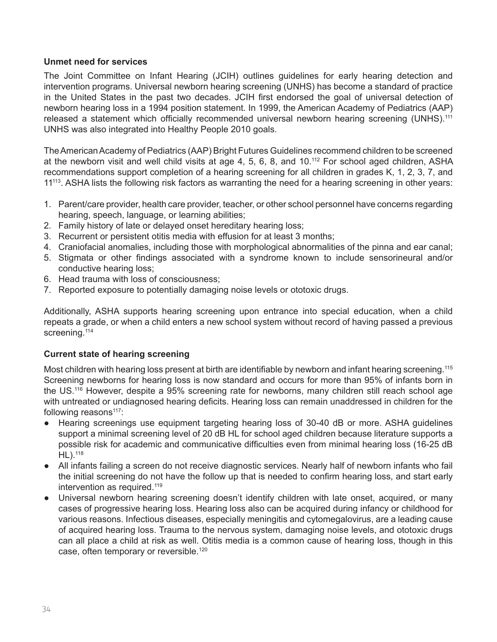### **Unmet need for services**

The Joint Committee on Infant Hearing (JCIH) outlines guidelines for early hearing detection and intervention programs. Universal newborn hearing screening (UNHS) has become a standard of practice in the United States in the past two decades. JCIH first endorsed the goal of universal detection of newborn hearing loss in a 1994 position statement. In 1999, the American Academy of Pediatrics (AAP) released a statement which officially recommended universal newborn hearing screening (UNHS).<sup>111</sup> UNHS was also integrated into Healthy People 2010 goals.

The American Academy of Pediatrics (AAP) Bright Futures Guidelines recommend children to be screened at the newborn visit and well child visits at age 4, 5, 6, 8, and 10.112 For school aged children, ASHA recommendations support completion of a hearing screening for all children in grades K, 1, 2, 3, 7, and 11<sup>113</sup>. ASHA lists the following risk factors as warranting the need for a hearing screening in other years:

- 1. Parent/care provider, health care provider, teacher, or other school personnel have concerns regarding hearing, speech, language, or learning abilities;
- 2. Family history of late or delayed onset hereditary hearing loss;
- 3. Recurrent or persistent otitis media with effusion for at least 3 months;
- 4. Craniofacial anomalies, including those with morphological abnormalities of the pinna and ear canal;
- 5. Stigmata or other findings associated with a syndrome known to include sensorineural and/or conductive hearing loss;
- 6. Head trauma with loss of consciousness;
- 7. Reported exposure to potentially damaging noise levels or ototoxic drugs.

Additionally, ASHA supports hearing screening upon entrance into special education, when a child repeats a grade, or when a child enters a new school system without record of having passed a previous screening.<sup>114</sup>

### **Current state of hearing screening**

Most children with hearing loss present at birth are identifiable by newborn and infant hearing screening.<sup>115</sup> Screening newborns for hearing loss is now standard and occurs for more than 95% of infants born in the US.<sup>116</sup> However, despite a 95% screening rate for newborns, many children still reach school age with untreated or undiagnosed hearing deficits. Hearing loss can remain unaddressed in children for the following reasons<sup>117</sup>:

- Hearing screenings use equipment targeting hearing loss of 30-40 dB or more. ASHA guidelines support a minimal screening level of 20 dB HL for school aged children because literature supports a possible risk for academic and communicative difficulties even from minimal hearing loss (16-25 dB HL).118
- All infants failing a screen do not receive diagnostic services. Nearly half of newborn infants who fail the initial screening do not have the follow up that is needed to confirm hearing loss, and start early intervention as required.<sup>119</sup>
- Universal newborn hearing screening doesn't identify children with late onset, acquired, or many cases of progressive hearing loss. Hearing loss also can be acquired during infancy or childhood for various reasons. Infectious diseases, especially meningitis and cytomegalovirus, are a leading cause of acquired hearing loss. Trauma to the nervous system, damaging noise levels, and ototoxic drugs can all place a child at risk as well. Otitis media is a common cause of hearing loss, though in this case, often temporary or reversible.120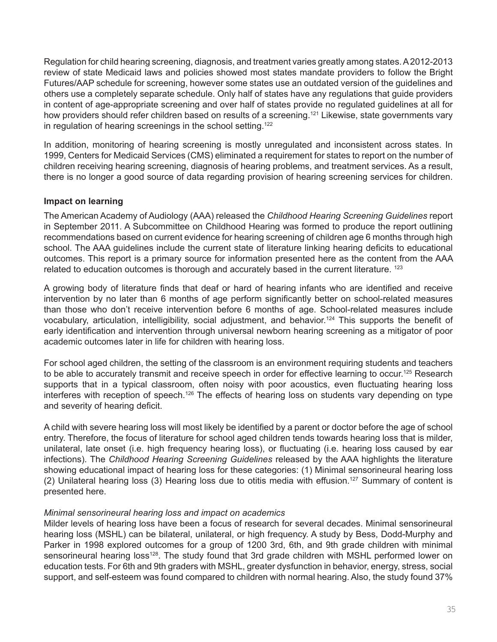Regulation for child hearing screening, diagnosis, and treatment varies greatly among states. A 2012-2013 review of state Medicaid laws and policies showed most states mandate providers to follow the Bright Futures/AAP schedule for screening, however some states use an outdated version of the guidelines and others use a completely separate schedule. Only half of states have any regulations that guide providers in content of age-appropriate screening and over half of states provide no regulated guidelines at all for how providers should refer children based on results of a screening.<sup>121</sup> Likewise, state governments vary in regulation of hearing screenings in the school setting.<sup>122</sup>

In addition, monitoring of hearing screening is mostly unregulated and inconsistent across states. In 1999, Centers for Medicaid Services (CMS) eliminated a requirement for states to report on the number of children receiving hearing screening, diagnosis of hearing problems, and treatment services. As a result, there is no longer a good source of data regarding provision of hearing screening services for children.

### **Impact on learning**

The American Academy of Audiology (AAA) released the *Childhood Hearing Screening Guidelines* report in September 2011. A Subcommittee on Childhood Hearing was formed to produce the report outlining recommendations based on current evidence for hearing screening of children age 6 months through high school. The AAA guidelines include the current state of literature linking hearing deficits to educational outcomes. This report is a primary source for information presented here as the content from the AAA related to education outcomes is thorough and accurately based in the current literature. <sup>123</sup>

A growing body of literature finds that deaf or hard of hearing infants who are identified and receive intervention by no later than 6 months of age perform significantly better on school-related measures than those who don't receive intervention before 6 months of age. School-related measures include vocabulary, articulation, intelligibility, social adjustment, and behavior.<sup>124</sup> This supports the benefit of early identification and intervention through universal newborn hearing screening as a mitigator of poor academic outcomes later in life for children with hearing loss.

For school aged children, the setting of the classroom is an environment requiring students and teachers to be able to accurately transmit and receive speech in order for effective learning to occur.<sup>125</sup> Research supports that in a typical classroom, often noisy with poor acoustics, even fluctuating hearing loss interferes with reception of speech.<sup>126</sup> The effects of hearing loss on students vary depending on type and severity of hearing deficit.

A child with severe hearing loss will most likely be identified by a parent or doctor before the age of school entry. Therefore, the focus of literature for school aged children tends towards hearing loss that is milder, unilateral, late onset (i.e. high frequency hearing loss), or fluctuating (i.e. hearing loss caused by ear infections). The *Childhood Hearing Screening Guidelines* released by the AAA highlights the literature showing educational impact of hearing loss for these categories: (1) Minimal sensorineural hearing loss (2) Unilateral hearing loss (3) Hearing loss due to otitis media with effusion.<sup>127</sup> Summary of content is presented here.

### *Minimal sensorineural hearing loss and impact on academics*

Milder levels of hearing loss have been a focus of research for several decades. Minimal sensorineural hearing loss (MSHL) can be bilateral, unilateral, or high frequency. A study by Bess, Dodd-Murphy and Parker in 1998 explored outcomes for a group of 1200 3rd, 6th, and 9th grade children with minimal sensorineural hearing loss<sup>128</sup>. The study found that 3rd grade children with MSHL performed lower on education tests. For 6th and 9th graders with MSHL, greater dysfunction in behavior, energy, stress, social support, and self-esteem was found compared to children with normal hearing. Also, the study found 37%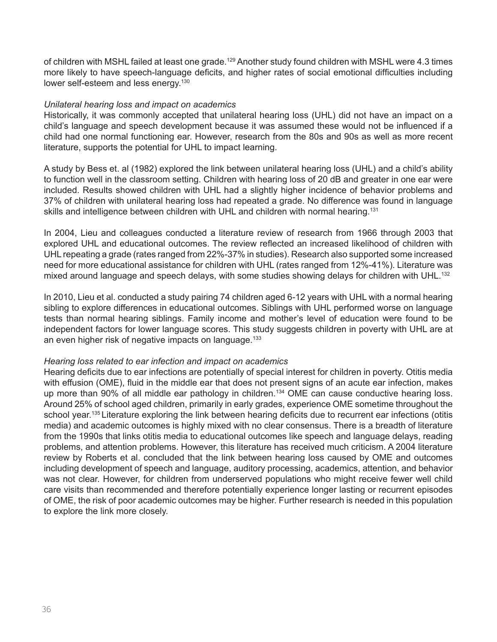of children with MSHL failed at least one grade.<sup>129</sup> Another study found children with MSHL were 4.3 times more likely to have speech-language deficits, and higher rates of social emotional difficulties including lower self-esteem and less energy.<sup>130</sup>

#### *Unilateral hearing loss and impact on academics*

Historically, it was commonly accepted that unilateral hearing loss (UHL) did not have an impact on a child's language and speech development because it was assumed these would not be influenced if a child had one normal functioning ear. However, research from the 80s and 90s as well as more recent literature, supports the potential for UHL to impact learning.

A study by Bess et. al (1982) explored the link between unilateral hearing loss (UHL) and a child's ability to function well in the classroom setting. Children with hearing loss of 20 dB and greater in one ear were included. Results showed children with UHL had a slightly higher incidence of behavior problems and 37% of children with unilateral hearing loss had repeated a grade. No difference was found in language skills and intelligence between children with UHL and children with normal hearing.<sup>131</sup>

In 2004, Lieu and colleagues conducted a literature review of research from 1966 through 2003 that explored UHL and educational outcomes. The review reflected an increased likelihood of children with UHL repeating a grade (rates ranged from 22%-37% in studies). Research also supported some increased need for more educational assistance for children with UHL (rates ranged from 12%-41%). Literature was mixed around language and speech delays, with some studies showing delays for children with UHL.<sup>132</sup>

In 2010, Lieu et al. conducted a study pairing 74 children aged 6-12 years with UHL with a normal hearing sibling to explore differences in educational outcomes. Siblings with UHL performed worse on language tests than normal hearing siblings. Family income and mother's level of education were found to be independent factors for lower language scores. This study suggests children in poverty with UHL are at an even higher risk of negative impacts on language.<sup>133</sup>

#### *Hearing loss related to ear infection and impact on academics*

Hearing deficits due to ear infections are potentially of special interest for children in poverty. Otitis media with effusion (OME), fluid in the middle ear that does not present signs of an acute ear infection, makes up more than 90% of all middle ear pathology in children.<sup>134</sup> OME can cause conductive hearing loss. Around 25% of school aged children, primarily in early grades, experience OME sometime throughout the school year.<sup>135</sup> Literature exploring the link between hearing deficits due to recurrent ear infections (otitis media) and academic outcomes is highly mixed with no clear consensus. There is a breadth of literature from the 1990s that links otitis media to educational outcomes like speech and language delays, reading problems, and attention problems. However, this literature has received much criticism. A 2004 literature review by Roberts et al. concluded that the link between hearing loss caused by OME and outcomes including development of speech and language, auditory processing, academics, attention, and behavior was not clear. However, for children from underserved populations who might receive fewer well child care visits than recommended and therefore potentially experience longer lasting or recurrent episodes of OME, the risk of poor academic outcomes may be higher. Further research is needed in this population to explore the link more closely.